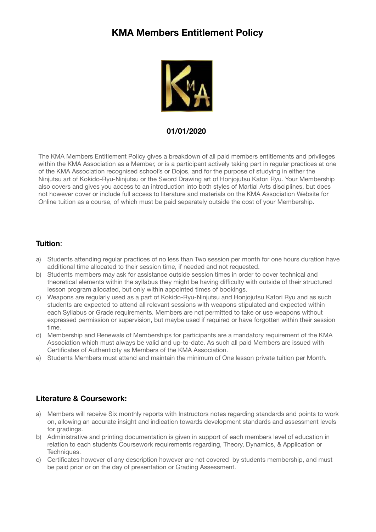# **KMA Members Entitlement Policy**



#### **01/01/2020**

The KMA Members Entitlement Policy gives a breakdown of all paid members entitlements and privileges within the KMA Association as a Member, or is a participant actively taking part in regular practices at one of the KMA Association recognised school's or Dojos, and for the purpose of studying in either the Ninjutsu art of Kokido-Ryu-Ninjutsu or the Sword Drawing art of Honjojutsu Katori Ryu. Your Membership also covers and gives you access to an introduction into both styles of Martial Arts disciplines, but does not however cover or include full access to literature and materials on the KMA Association Website for Online tuition as a course, of which must be paid separately outside the cost of your Membership.

#### **Tuition**:

- a) Students attending regular practices of no less than Two session per month for one hours duration have additional time allocated to their session time, if needed and not requested.
- b) Students members may ask for assistance outside session times in order to cover technical and theoretical elements within the syllabus they might be having difficulty with outside of their structured lesson program allocated, but only within appointed times of bookings.
- c) Weapons are regularly used as a part of Kokido-Ryu-Ninjutsu and Honjojutsu Katori Ryu and as such students are expected to attend all relevant sessions with weapons stipulated and expected within each Syllabus or Grade requirements. Members are not permitted to take or use weapons without expressed permission or supervision, but maybe used if required or have forgotten within their session time.
- d) Membership and Renewals of Memberships for participants are a mandatory requirement of the KMA Association which must always be valid and up-to-date. As such all paid Members are issued with Certificates of Authenticity as Members of the KMA Association.
- e) Students Members must attend and maintain the minimum of One lesson private tuition per Month.

# **Literature & Coursework:**

- a) Members will receive Six monthly reports with Instructors notes regarding standards and points to work on, allowing an accurate insight and indication towards development standards and assessment levels for gradings.
- b) Administrative and printing documentation is given in support of each members level of education in relation to each students Coursework requirements regarding, Theory, Dynamics, & Application or Techniques.
- c) Certificates however of any description however are not covered by students membership, and must be paid prior or on the day of presentation or Grading Assessment.